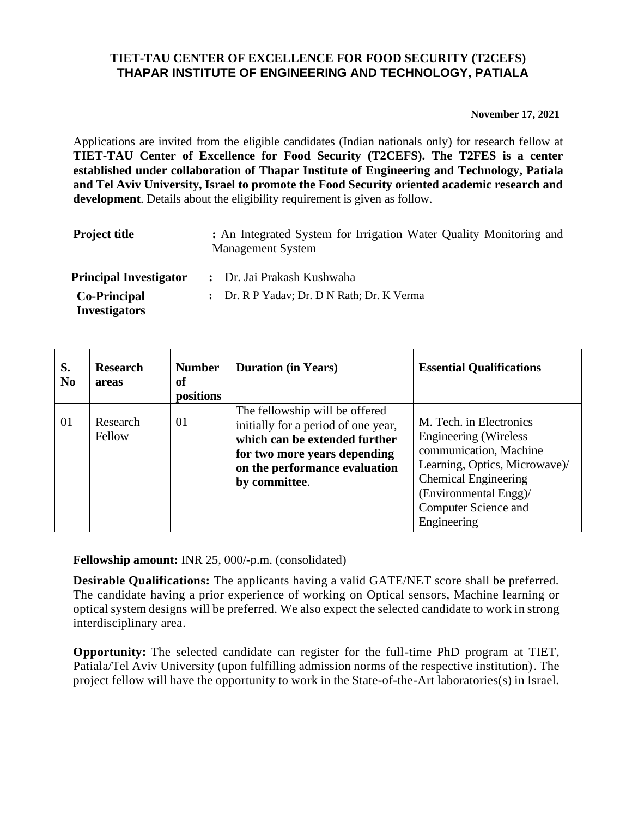## **TIET-TAU CENTER OF EXCELLENCE FOR FOOD SECURITY (T2CEFS) THAPAR INSTITUTE OF ENGINEERING AND TECHNOLOGY, PATIALA**

**November 17, 2021**

Applications are invited from the eligible candidates (Indian nationals only) for research fellow at **TIET-TAU Center of Excellence for Food Security (T2CEFS). The T2FES is a center established under collaboration of Thapar Institute of Engineering and Technology, Patiala and Tel Aviv University, Israel to promote the Food Security oriented academic research and development**. Details about the eligibility requirement is given as follow.

| <b>Project title</b>          | : An Integrated System for Irrigation Water Quality Monitoring and<br><b>Management System</b> |
|-------------------------------|------------------------------------------------------------------------------------------------|
| <b>Principal Investigator</b> | : Dr. Jai Prakash Kushwaha                                                                     |
| <b>Co-Principal</b>           | : Dr. R P Yadav; Dr. D N Rath; Dr. K Verma                                                     |
| <b>Investigators</b>          |                                                                                                |

| S.<br>$\bf No$ | <b>Research</b><br>areas | <b>Number</b><br>of<br>positions | <b>Duration (in Years)</b>                                                                                                                                                               | <b>Essential Qualifications</b>                                                                                                                                                                                          |
|----------------|--------------------------|----------------------------------|------------------------------------------------------------------------------------------------------------------------------------------------------------------------------------------|--------------------------------------------------------------------------------------------------------------------------------------------------------------------------------------------------------------------------|
| 01             | Research<br>Fellow       | 01                               | The fellowship will be offered<br>initially for a period of one year,<br>which can be extended further<br>for two more years depending<br>on the performance evaluation<br>by committee. | M. Tech. in Electronics<br><b>Engineering (Wireless</b><br>communication, Machine<br>Learning, Optics, Microwave)/<br><b>Chemical Engineering</b><br>(Environmental Engg)/<br><b>Computer Science and</b><br>Engineering |

**Fellowship amount:** INR 25, 000/-p.m. (consolidated)

**Desirable Qualifications:** The applicants having a valid GATE/NET score shall be preferred. The candidate having a prior experience of working on Optical sensors, Machine learning or optical system designs will be preferred. We also expect the selected candidate to work in strong interdisciplinary area.

**Opportunity:** The selected candidate can register for the full-time PhD program at TIET, Patiala/Tel Aviv University (upon fulfilling admission norms of the respective institution). The project fellow will have the opportunity to work in the State-of-the-Art laboratories(s) in Israel.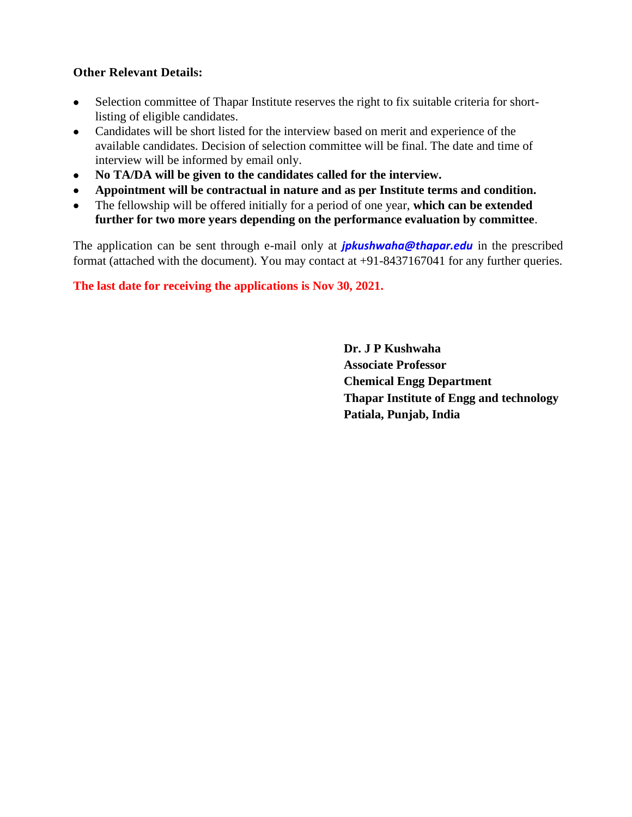## **Other Relevant Details:**

- Selection committee of Thapar Institute reserves the right to fix suitable criteria for shortlisting of eligible candidates.
- Candidates will be short listed for the interview based on merit and experience of the available candidates. Decision of selection committee will be final. The date and time of interview will be informed by email only.
- **No TA/DA will be given to the candidates called for the interview.**
- **Appointment will be contractual in nature and as per Institute terms and condition.**
- The fellowship will be offered initially for a period of one year, **which can be extended further for two more years depending on the performance evaluation by committee**.

The application can be sent through e-mail only at *jpkushwaha@thapar.edu* in the prescribed format (attached with the document). You may contact at +91-8437167041 for any further queries.

**The last date for receiving the applications is Nov 30, 2021.**

**Dr. J P Kushwaha Associate Professor Chemical Engg Department Thapar Institute of Engg and technology Patiala, Punjab, India**